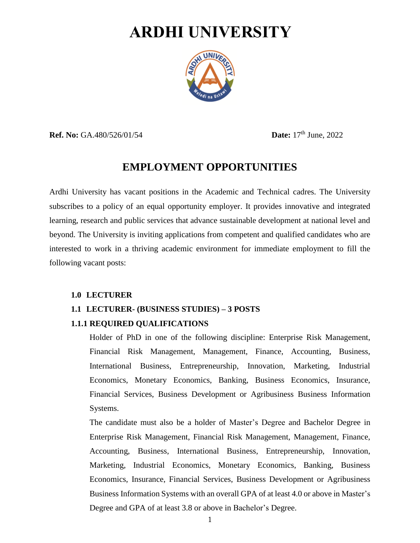# **ARDHI UNIVERSITY**



**Ref. No:** GA.480/526/01/54 **Date:** 17<sup>th</sup> June, 2022

# **EMPLOYMENT OPPORTUNITIES**

Ardhi University has vacant positions in the Academic and Technical cadres. The University subscribes to a policy of an equal opportunity employer. It provides innovative and integrated learning, research and public services that advance sustainable development at national level and beyond. The University is inviting applications from competent and qualified candidates who are interested to work in a thriving academic environment for immediate employment to fill the following vacant posts:

#### **1.0 LECTURER**

# **1.1 LECTURER- (BUSINESS STUDIES) – 3 POSTS**

#### **1.1.1 REQUIRED QUALIFICATIONS**

Holder of PhD in one of the following discipline: Enterprise Risk Management, Financial Risk Management, Management, Finance, Accounting, Business, International Business, Entrepreneurship, Innovation, Marketing, Industrial Economics, Monetary Economics, Banking, Business Economics, Insurance, Financial Services, Business Development or Agribusiness Business Information Systems.

The candidate must also be a holder of Master's Degree and Bachelor Degree in Enterprise Risk Management, Financial Risk Management, Management, Finance, Accounting, Business, International Business, Entrepreneurship, Innovation, Marketing, Industrial Economics, Monetary Economics, Banking, Business Economics, Insurance, Financial Services, Business Development or Agribusiness Business Information Systems with an overall GPA of at least 4.0 or above in Master's Degree and GPA of at least 3.8 or above in Bachelor's Degree.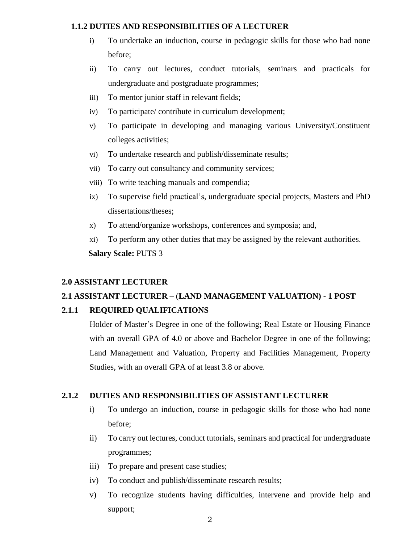#### **1.1.2 DUTIES AND RESPONSIBILITIES OF A LECTURER**

- i) To undertake an induction, course in pedagogic skills for those who had none before;
- ii) To carry out lectures, conduct tutorials, seminars and practicals for undergraduate and postgraduate programmes;
- iii) To mentor junior staff in relevant fields;
- iv) To participate/ contribute in curriculum development;
- v) To participate in developing and managing various University/Constituent colleges activities;
- vi) To undertake research and publish/disseminate results;
- vii) To carry out consultancy and community services;
- viii) To write teaching manuals and compendia;
- ix) To supervise field practical's, undergraduate special projects, Masters and PhD dissertations/theses;
- x) To attend/organize workshops, conferences and symposia; and,
- xi) To perform any other duties that may be assigned by the relevant authorities.  **Salary Scale:** PUTS 3

#### **2.0 ASSISTANT LECTURER**

# **2.1 ASSISTANT LECTURER** – (**LAND MANAGEMENT VALUATION) - 1 POST**

#### **2.1.1 REQUIRED QUALIFICATIONS**

Holder of Master's Degree in one of the following; Real Estate or Housing Finance with an overall GPA of 4.0 or above and Bachelor Degree in one of the following; Land Management and Valuation, Property and Facilities Management, Property Studies, with an overall GPA of at least 3.8 or above.

#### **2.1.2 DUTIES AND RESPONSIBILITIES OF ASSISTANT LECTURER**

- i) To undergo an induction, course in pedagogic skills for those who had none before;
- ii) To carry out lectures, conduct tutorials, seminars and practical for undergraduate programmes;
- iii) To prepare and present case studies;
- iv) To conduct and publish/disseminate research results;
- v) To recognize students having difficulties, intervene and provide help and support;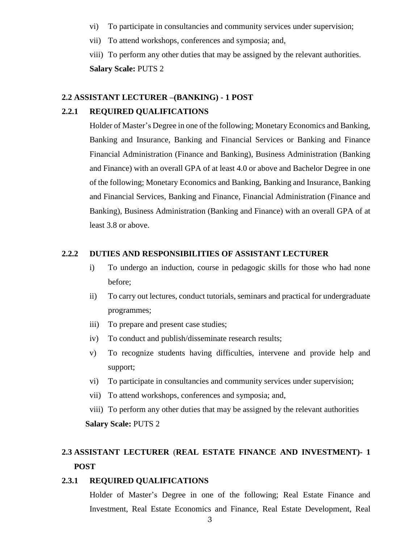- vi) To participate in consultancies and community services under supervision;
- vii) To attend workshops, conferences and symposia; and,

viii) To perform any other duties that may be assigned by the relevant authorities. **Salary Scale:** PUTS 2

#### **2.2 ASSISTANT LECTURER –(BANKING) - 1 POST**

#### **2.2.1 REQUIRED QUALIFICATIONS**

Holder of Master's Degree in one of the following; Monetary Economics and Banking, Banking and Insurance, Banking and Financial Services or Banking and Finance Financial Administration (Finance and Banking), Business Administration (Banking and Finance) with an overall GPA of at least 4.0 or above and Bachelor Degree in one of the following; Monetary Economics and Banking, Banking and Insurance, Banking and Financial Services, Banking and Finance, Financial Administration (Finance and Banking), Business Administration (Banking and Finance) with an overall GPA of at least 3.8 or above.

#### **2.2.2 DUTIES AND RESPONSIBILITIES OF ASSISTANT LECTURER**

- i) To undergo an induction, course in pedagogic skills for those who had none before;
- ii) To carry out lectures, conduct tutorials, seminars and practical for undergraduate programmes;
- iii) To prepare and present case studies;
- iv) To conduct and publish/disseminate research results;
- v) To recognize students having difficulties, intervene and provide help and support;
- vi) To participate in consultancies and community services under supervision;
- vii) To attend workshops, conferences and symposia; and,

viii) To perform any other duties that may be assigned by the relevant authorities **Salary Scale:** PUTS 2

# **2.3 ASSISTANT LECTURER** (**REAL ESTATE FINANCE AND INVESTMENT)- 1 POST**

#### **2.3.1 REQUIRED QUALIFICATIONS**

Holder of Master's Degree in one of the following; Real Estate Finance and Investment, [Real Estate](https://www.reading.ac.uk/discover/Ready-to-Study/study/2022/real-estate-and-planning-pg/msc-real-estate) Economics and Finance, [Real Estate](https://www.reading.ac.uk/discover/Ready-to-Study/study/2022/real-estate-and-planning-pg/msc-real-estate) Development, [Real](https://www.reading.ac.uk/discover/Ready-to-Study/study/2022/real-estate-and-planning-pg/msc-real-estate-finance)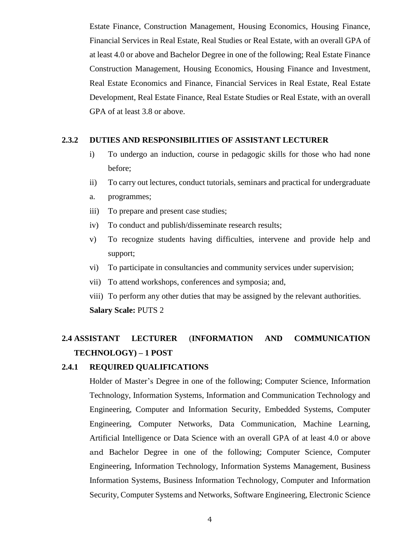[Estate Finance,](https://www.reading.ac.uk/discover/Ready-to-Study/study/2022/real-estate-and-planning-pg/msc-real-estate-finance) Construction Management, Housing Economics, Housing Finance, Financial Services in Real Estate, Real Studies or Real Estate, with an overall GPA of at least 4.0 or above and Bachelor Degree in one of the following; Real Estate Finance Construction Management, Housing Economics, Housing Finance and Investment, [Real Estate](https://www.reading.ac.uk/discover/Ready-to-Study/study/2022/real-estate-and-planning-pg/msc-real-estate) Economics and Finance, Financial Services in Real Estate, [Real Estate](https://www.reading.ac.uk/discover/Ready-to-Study/study/2022/real-estate-and-planning-pg/msc-real-estate) Development, [Real Estate Finance,](https://www.reading.ac.uk/discover/Ready-to-Study/study/2022/real-estate-and-planning-pg/msc-real-estate-finance) [Real Estate](https://www.reading.ac.uk/discover/Ready-to-Study/study/2022/real-estate-and-planning-pg/msc-real-estate) Studies or Real Estate, with an overall GPA of at least 3.8 or above.

#### **2.3.2 DUTIES AND RESPONSIBILITIES OF ASSISTANT LECTURER**

- i) To undergo an induction, course in pedagogic skills for those who had none before;
- ii) To carry out lectures, conduct tutorials, seminars and practical for undergraduate
- a. programmes;
- iii) To prepare and present case studies;
- iv) To conduct and publish/disseminate research results;
- v) To recognize students having difficulties, intervene and provide help and support;
- vi) To participate in consultancies and community services under supervision;
- vii) To attend workshops, conferences and symposia; and,
- viii) To perform any other duties that may be assigned by the relevant authorities. **Salary Scale:** PUTS 2

# **2.4 ASSISTANT LECTURER** (**INFORMATION AND COMMUNICATION TECHNOLOGY) – 1 POST**

### **2.4.1 REQUIRED QUALIFICATIONS**

Holder of Master's Degree in one of the following; Computer Science, Information Technology, Information Systems, Information and Communication Technology and Engineering, Computer and Information Security, Embedded Systems, Computer Engineering, Computer Networks, Data Communication, Machine Learning, Artificial Intelligence or Data Science with an overall GPA of at least 4.0 or above and Bachelor Degree in one of the following; Computer Science, Computer Engineering, Information Technology, Information Systems Management, Business Information Systems, Business Information Technology, Computer and Information Security, Computer Systems and Networks, Software Engineering, Electronic Science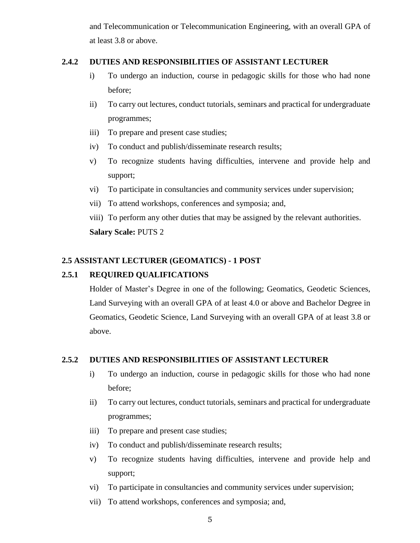and Telecommunication or Telecommunication Engineering, with an overall GPA of at least 3.8 or above.

### **2.4.2 DUTIES AND RESPONSIBILITIES OF ASSISTANT LECTURER**

- i) To undergo an induction, course in pedagogic skills for those who had none before;
- ii) To carry out lectures, conduct tutorials, seminars and practical for undergraduate programmes;
- iii) To prepare and present case studies;
- iv) To conduct and publish/disseminate research results;
- v) To recognize students having difficulties, intervene and provide help and support;
- vi) To participate in consultancies and community services under supervision;
- vii) To attend workshops, conferences and symposia; and,
- viii) To perform any other duties that may be assigned by the relevant authorities. **Salary Scale:** PUTS 2

# **2.5 ASSISTANT LECTURER (GEOMATICS) - 1 POST**

# **2.5.1 REQUIRED QUALIFICATIONS**

Holder of Master's Degree in one of the following; Geomatics, Geodetic Sciences, Land Surveying with an overall GPA of at least 4.0 or above and Bachelor Degree in Geomatics, Geodetic Science, Land Surveying with an overall GPA of at least 3.8 or above.

# **2.5.2 DUTIES AND RESPONSIBILITIES OF ASSISTANT LECTURER**

- i) To undergo an induction, course in pedagogic skills for those who had none before;
- ii) To carry out lectures, conduct tutorials, seminars and practical for undergraduate programmes;
- iii) To prepare and present case studies;
- iv) To conduct and publish/disseminate research results;
- v) To recognize students having difficulties, intervene and provide help and support;
- vi) To participate in consultancies and community services under supervision;
- vii) To attend workshops, conferences and symposia; and,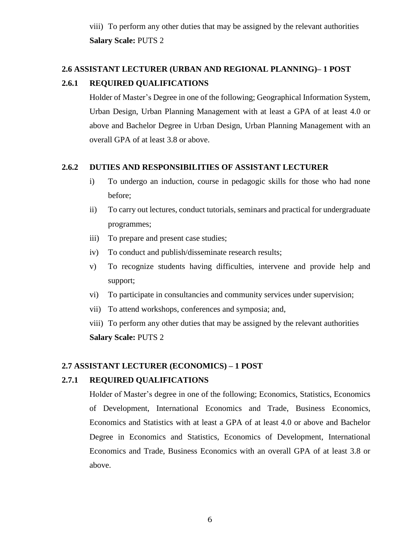viii) To perform any other duties that may be assigned by the relevant authorities **Salary Scale:** PUTS 2

# **2.6 ASSISTANT LECTURER (URBAN AND REGIONAL PLANNING)– 1 POST 2.6.1 REQUIRED QUALIFICATIONS**

Holder of Master's Degree in one of the following; Geographical Information System, Urban Design, Urban Planning Management with at least a GPA of at least 4.0 or above and Bachelor Degree in Urban Design, Urban Planning Management with an overall GPA of at least 3.8 or above.

# **2.6.2 DUTIES AND RESPONSIBILITIES OF ASSISTANT LECTURER**

- i) To undergo an induction, course in pedagogic skills for those who had none before;
- ii) To carry out lectures, conduct tutorials, seminars and practical for undergraduate programmes;
- iii) To prepare and present case studies;
- iv) To conduct and publish/disseminate research results;
- v) To recognize students having difficulties, intervene and provide help and support;
- vi) To participate in consultancies and community services under supervision;
- vii) To attend workshops, conferences and symposia; and,

viii) To perform any other duties that may be assigned by the relevant authorities **Salary Scale:** PUTS 2

# **2.7 ASSISTANT LECTURER (ECONOMICS) – 1 POST**

# **2.7.1 REQUIRED QUALIFICATIONS**

Holder of Master's degree in one of the following; Economics, Statistics, Economics of Development, International Economics and Trade, Business Economics, Economics and Statistics with at least a GPA of at least 4.0 or above and Bachelor Degree in Economics and Statistics, Economics of Development, International Economics and Trade, Business Economics with an overall GPA of at least 3.8 or above.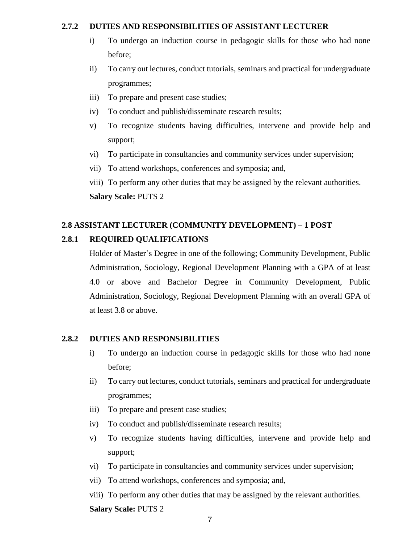#### **2.7.2 DUTIES AND RESPONSIBILITIES OF ASSISTANT LECTURER**

- i) To undergo an induction course in pedagogic skills for those who had none before;
- ii) To carry out lectures, conduct tutorials, seminars and practical for undergraduate programmes;
- iii) To prepare and present case studies;
- iv) To conduct and publish/disseminate research results;
- v) To recognize students having difficulties, intervene and provide help and support;
- vi) To participate in consultancies and community services under supervision;
- vii) To attend workshops, conferences and symposia; and,
- viii) To perform any other duties that may be assigned by the relevant authorities. **Salary Scale:** PUTS 2

# **2.8 ASSISTANT LECTURER (COMMUNITY DEVELOPMENT) – 1 POST**

# **2.8.1 REQUIRED QUALIFICATIONS**

Holder of Master's Degree in one of the following; Community Development, Public Administration, Sociology, Regional Development Planning with a GPA of at least 4.0 or above and Bachelor Degree in Community Development, Public Administration, Sociology, Regional Development Planning with an overall GPA of at least 3.8 or above.

#### **2.8.2 DUTIES AND RESPONSIBILITIES**

- i) To undergo an induction course in pedagogic skills for those who had none before;
- ii) To carry out lectures, conduct tutorials, seminars and practical for undergraduate programmes;
- iii) To prepare and present case studies;
- iv) To conduct and publish/disseminate research results;
- v) To recognize students having difficulties, intervene and provide help and support;
- vi) To participate in consultancies and community services under supervision;
- vii) To attend workshops, conferences and symposia; and,
- viii) To perform any other duties that may be assigned by the relevant authorities. **Salary Scale:** PUTS 2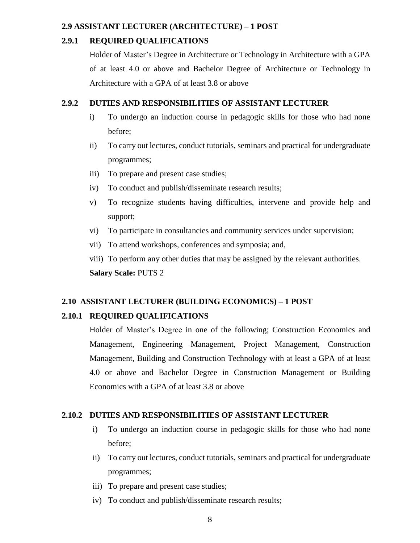#### **2.9 ASSISTANT LECTURER (ARCHITECTURE) – 1 POST**

#### **2.9.1 REQUIRED QUALIFICATIONS**

Holder of Master's Degree in Architecture or Technology in Architecture with a GPA of at least 4.0 or above and Bachelor Degree of Architecture or Technology in Architecture with a GPA of at least 3.8 or above

#### **2.9.2 DUTIES AND RESPONSIBILITIES OF ASSISTANT LECTURER**

- i) To undergo an induction course in pedagogic skills for those who had none before;
- ii) To carry out lectures, conduct tutorials, seminars and practical for undergraduate programmes;
- iii) To prepare and present case studies;
- iv) To conduct and publish/disseminate research results;
- v) To recognize students having difficulties, intervene and provide help and support;
- vi) To participate in consultancies and community services under supervision;
- vii) To attend workshops, conferences and symposia; and,
- viii) To perform any other duties that may be assigned by the relevant authorities. **Salary Scale:** PUTS 2

#### **2.10 ASSISTANT LECTURER (BUILDING ECONOMICS) – 1 POST**

#### **2.10.1 REQUIRED QUALIFICATIONS**

Holder of Master's Degree in one of the following; Construction Economics and Management, Engineering Management, Project Management, Construction Management, Building and Construction Technology with at least a GPA of at least 4.0 or above and Bachelor Degree in Construction Management or Building Economics with a GPA of at least 3.8 or above

#### **2.10.2 DUTIES AND RESPONSIBILITIES OF ASSISTANT LECTURER**

- i) To undergo an induction course in pedagogic skills for those who had none before;
- ii) To carry out lectures, conduct tutorials, seminars and practical for undergraduate programmes;
- iii) To prepare and present case studies;
- iv) To conduct and publish/disseminate research results;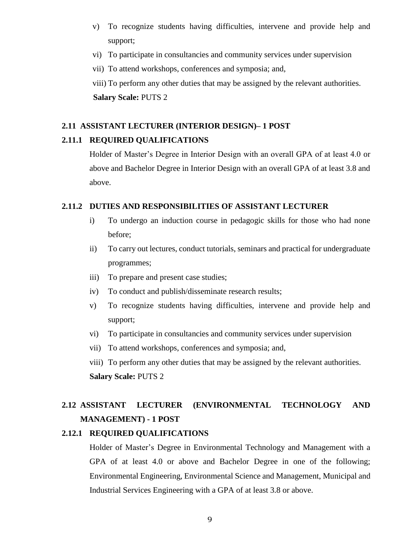- v) To recognize students having difficulties, intervene and provide help and support;
- vi) To participate in consultancies and community services under supervision
- vii) To attend workshops, conferences and symposia; and,

viii) To perform any other duties that may be assigned by the relevant authorities. **Salary Scale:** PUTS 2

#### **2.11 ASSISTANT LECTURER (INTERIOR DESIGN)– 1 POST**

#### **2.11.1 REQUIRED QUALIFICATIONS**

Holder of Master's Degree in Interior Design with an overall GPA of at least 4.0 or above and Bachelor Degree in Interior Design with an overall GPA of at least 3.8 and above.

#### **2.11.2 DUTIES AND RESPONSIBILITIES OF ASSISTANT LECTURER**

- i) To undergo an induction course in pedagogic skills for those who had none before;
- ii) To carry out lectures, conduct tutorials, seminars and practical for undergraduate programmes;
- iii) To prepare and present case studies;
- iv) To conduct and publish/disseminate research results;
- v) To recognize students having difficulties, intervene and provide help and support;
- vi) To participate in consultancies and community services under supervision
- vii) To attend workshops, conferences and symposia; and,
- viii) To perform any other duties that may be assigned by the relevant authorities. **Salary Scale:** PUTS 2

# **2.12 ASSISTANT LECTURER (ENVIRONMENTAL TECHNOLOGY AND MANAGEMENT) - 1 POST**

#### **2.12.1 REQUIRED QUALIFICATIONS**

Holder of Master's Degree in Environmental Technology and Management with a GPA of at least 4.0 or above and Bachelor Degree in one of the following; Environmental Engineering, Environmental Science and Management, Municipal and Industrial Services Engineering with a GPA of at least 3.8 or above.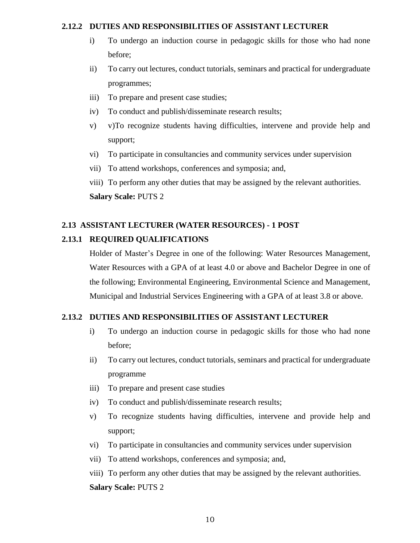#### **2.12.2 DUTIES AND RESPONSIBILITIES OF ASSISTANT LECTURER**

- i) To undergo an induction course in pedagogic skills for those who had none before;
- ii) To carry out lectures, conduct tutorials, seminars and practical for undergraduate programmes;
- iii) To prepare and present case studies;
- iv) To conduct and publish/disseminate research results;
- v) v)To recognize students having difficulties, intervene and provide help and support;
- vi) To participate in consultancies and community services under supervision
- vii) To attend workshops, conferences and symposia; and,
- viii) To perform any other duties that may be assigned by the relevant authorities. **Salary Scale:** PUTS 2

# **2.13 ASSISTANT LECTURER (WATER RESOURCES) - 1 POST**

# **2.13.1 REQUIRED QUALIFICATIONS**

Holder of Master's Degree in one of the following: Water Resources Management, Water Resources with a GPA of at least 4.0 or above and Bachelor Degree in one of the following; Environmental Engineering, Environmental Science and Management, Municipal and Industrial Services Engineering with a GPA of at least 3.8 or above.

# **2.13.2 DUTIES AND RESPONSIBILITIES OF ASSISTANT LECTURER**

- i) To undergo an induction course in pedagogic skills for those who had none before;
- ii) To carry out lectures, conduct tutorials, seminars and practical for undergraduate programme
- iii) To prepare and present case studies
- iv) To conduct and publish/disseminate research results;
- v) To recognize students having difficulties, intervene and provide help and support;
- vi) To participate in consultancies and community services under supervision
- vii) To attend workshops, conferences and symposia; and,
- viii) To perform any other duties that may be assigned by the relevant authorities. **Salary Scale:** PUTS 2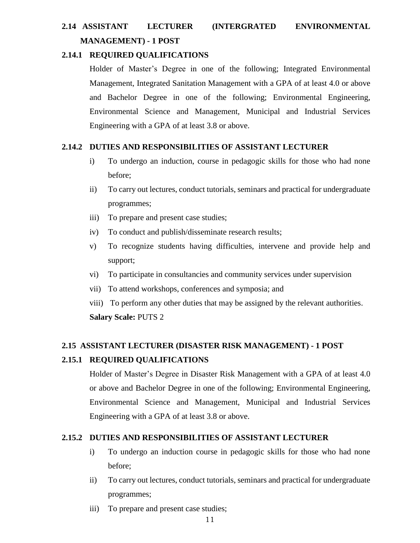# **2.14 ASSISTANT LECTURER (INTERGRATED ENVIRONMENTAL MANAGEMENT) - 1 POST**

### **2.14.1 REQUIRED QUALIFICATIONS**

Holder of Master's Degree in one of the following; Integrated Environmental Management, Integrated Sanitation Management with a GPA of at least 4.0 or above and Bachelor Degree in one of the following; Environmental Engineering, Environmental Science and Management, Municipal and Industrial Services Engineering with a GPA of at least 3.8 or above.

# **2.14.2 DUTIES AND RESPONSIBILITIES OF ASSISTANT LECTURER**

- i) To undergo an induction, course in pedagogic skills for those who had none before;
- ii) To carry out lectures, conduct tutorials, seminars and practical for undergraduate programmes;
- iii) To prepare and present case studies;
- iv) To conduct and publish/disseminate research results;
- v) To recognize students having difficulties, intervene and provide help and support;
- vi) To participate in consultancies and community services under supervision
- vii) To attend workshops, conferences and symposia; and
- viii) To perform any other duties that may be assigned by the relevant authorities. **Salary Scale:** PUTS 2

# **2.15 ASSISTANT LECTURER (DISASTER RISK MANAGEMENT) - 1 POST**

# **2.15.1 REQUIRED QUALIFICATIONS**

Holder of Master's Degree in Disaster Risk Management with a GPA of at least 4.0 or above and Bachelor Degree in one of the following; Environmental Engineering, Environmental Science and Management, Municipal and Industrial Services Engineering with a GPA of at least 3.8 or above.

# **2.15.2 DUTIES AND RESPONSIBILITIES OF ASSISTANT LECTURER**

- i) To undergo an induction course in pedagogic skills for those who had none before;
- ii) To carry out lectures, conduct tutorials, seminars and practical for undergraduate programmes;
- iii) To prepare and present case studies;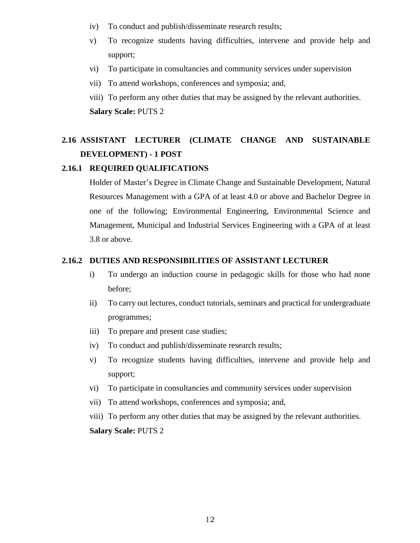- iv) To conduct and publish/disseminate research results;
- v) To recognize students having difficulties, intervene and provide help and support;
- vi) To participate in consultancies and community services under supervision
- vii) To attend workshops, conferences and symposia; and,
- viii) To perform any other duties that may be assigned by the relevant authorities. **Salary Scale:** PUTS 2

# **2.16 ASSISTANT LECTURER (CLIMATE CHANGE AND SUSTAINABLE DEVELOPMENT) - 1 POST**

#### **2.16.1 REQUIRED QUALIFICATIONS**

Holder of Master's Degree in Climate Change and Sustainable Development, Natural Resources Management with a GPA of at least 4.0 or above and Bachelor Degree in one of the following; Environmental Engineering, Environmental Science and Management, Municipal and Industrial Services Engineering with a GPA of at least 3.8 or above.

#### **2.16.2 DUTIES AND RESPONSIBILITIES OF ASSISTANT LECTURER**

- i) To undergo an induction course in pedagogic skills for those who had none before;
- ii) To carry out lectures, conduct tutorials, seminars and practical for undergraduate programmes;
- iii) To prepare and present case studies;
- iv) To conduct and publish/disseminate research results;
- v) To recognize students having difficulties, intervene and provide help and support;
- vi) To participate in consultancies and community services under supervision
- vii) To attend workshops, conferences and symposia; and,
- viii) To perform any other duties that may be assigned by the relevant authorities.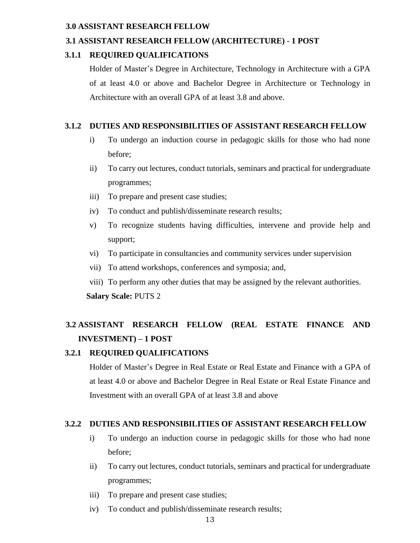#### **3.0 ASSISTANT RESEARCH FELLOW**

# **3.1 ASSISTANT RESEARCH FELLOW (ARCHITECTURE) - 1 POST**

# **3.1.1 REQUIRED QUALIFICATIONS**

Holder of Master's Degree in Architecture, Technology in Architecture with a GPA of at least 4.0 or above and Bachelor Degree in Architecture or Technology in Architecture with an overall GPA of at least 3.8 and above.

### **3.1.2 DUTIES AND RESPONSIBILITIES OF ASSISTANT RESEARCH FELLOW**

- i) To undergo an induction course in pedagogic skills for those who had none before;
- ii) To carry out lectures, conduct tutorials, seminars and practical for undergraduate programmes;
- iii) To prepare and present case studies;
- iv) To conduct and publish/disseminate research results;
- v) To recognize students having difficulties, intervene and provide help and support;
- vi) To participate in consultancies and community services under supervision
- vii) To attend workshops, conferences and symposia; and,
- viii) To perform any other duties that may be assigned by the relevant authorities. **Salary Scale:** PUTS 2

# **3.2 ASSISTANT RESEARCH FELLOW (REAL ESTATE FINANCE AND INVESTMENT) – 1 POST**

# **3.2.1 REQUIRED QUALIFICATIONS**

Holder of Master's Degree in Real Estate or Real Estate and Finance with a GPA of at least 4.0 or above and Bachelor Degree in Real Estate or Real Estate Finance and Investment with an overall GPA of at least 3.8 and above

# **3.2.2 DUTIES AND RESPONSIBILITIES OF ASSISTANT RESEARCH FELLOW**

- i) To undergo an induction course in pedagogic skills for those who had none before;
- ii) To carry out lectures, conduct tutorials, seminars and practical for undergraduate programmes;
- iii) To prepare and present case studies;
- iv) To conduct and publish/disseminate research results;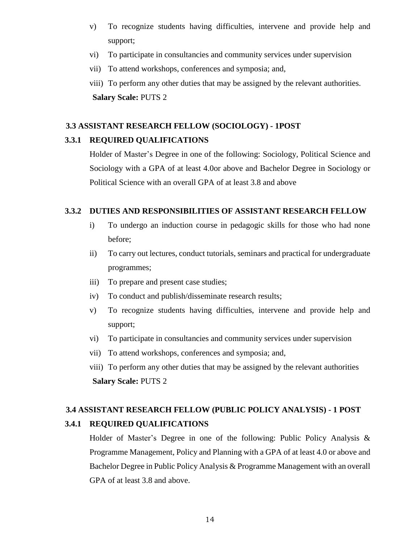- v) To recognize students having difficulties, intervene and provide help and support;
- vi) To participate in consultancies and community services under supervision
- vii) To attend workshops, conferences and symposia; and,

viii) To perform any other duties that may be assigned by the relevant authorities. **Salary Scale:** PUTS 2

#### **3.3 ASSISTANT RESEARCH FELLOW (SOCIOLOGY) - 1POST**

#### **3.3.1 REQUIRED QUALIFICATIONS**

Holder of Master's Degree in one of the following: Sociology, Political Science and Sociology with a GPA of at least 4.0or above and Bachelor Degree in Sociology or Political Science with an overall GPA of at least 3.8 and above

#### **3.3.2 DUTIES AND RESPONSIBILITIES OF ASSISTANT RESEARCH FELLOW**

- i) To undergo an induction course in pedagogic skills for those who had none before;
- ii) To carry out lectures, conduct tutorials, seminars and practical for undergraduate programmes;
- iii) To prepare and present case studies;
- iv) To conduct and publish/disseminate research results;
- v) To recognize students having difficulties, intervene and provide help and support;
- vi) To participate in consultancies and community services under supervision
- vii) To attend workshops, conferences and symposia; and,
- viii) To perform any other duties that may be assigned by the relevant authorities **Salary Scale:** PUTS 2

#### **3.4 ASSISTANT RESEARCH FELLOW (PUBLIC POLICY ANALYSIS) - 1 POST**

#### **3.4.1 REQUIRED QUALIFICATIONS**

Holder of Master's Degree in one of the following: Public Policy Analysis & Programme Management, Policy and Planning with a GPA of at least 4.0 or above and Bachelor Degree in Public Policy Analysis & Programme Management with an overall GPA of at least 3.8 and above.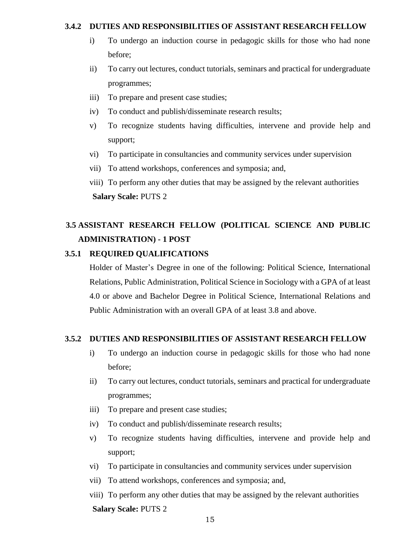#### **3.4.2 DUTIES AND RESPONSIBILITIES OF ASSISTANT RESEARCH FELLOW**

- i) To undergo an induction course in pedagogic skills for those who had none before;
- ii) To carry out lectures, conduct tutorials, seminars and practical for undergraduate programmes;
- iii) To prepare and present case studies;
- iv) To conduct and publish/disseminate research results;
- v) To recognize students having difficulties, intervene and provide help and support;
- vi) To participate in consultancies and community services under supervision
- vii) To attend workshops, conferences and symposia; and,
- viii) To perform any other duties that may be assigned by the relevant authorities **Salary Scale:** PUTS 2

# **3.5 ASSISTANT RESEARCH FELLOW (POLITICAL SCIENCE AND PUBLIC ADMINISTRATION) - 1 POST**

#### **3.5.1 REQUIRED QUALIFICATIONS**

Holder of Master's Degree in one of the following: Political Science, International Relations, Public Administration, Political Science in Sociology with a GPA of at least 4.0 or above and Bachelor Degree in Political Science, International Relations and Public Administration with an overall GPA of at least 3.8 and above.

#### **3.5.2 DUTIES AND RESPONSIBILITIES OF ASSISTANT RESEARCH FELLOW**

- i) To undergo an induction course in pedagogic skills for those who had none before;
- ii) To carry out lectures, conduct tutorials, seminars and practical for undergraduate programmes;
- iii) To prepare and present case studies;
- iv) To conduct and publish/disseminate research results;
- v) To recognize students having difficulties, intervene and provide help and support;
- vi) To participate in consultancies and community services under supervision
- vii) To attend workshops, conferences and symposia; and,
- viii) To perform any other duties that may be assigned by the relevant authorities **Salary Scale:** PUTS 2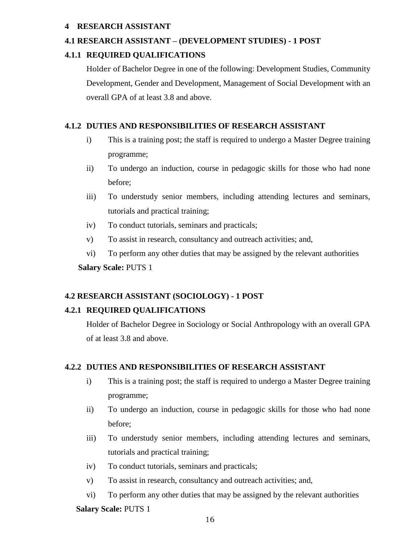# **4 RESEARCH ASSISTANT**

# **4.1 RESEARCH ASSISTANT – (DEVELOPMENT STUDIES) - 1 POST**

# **4.1.1 REQUIRED QUALIFICATIONS**

Holder of Bachelor Degree in one of the following: Development Studies, Community Development, Gender and Development, Management of Social Development with an overall GPA of at least 3.8 and above.

# **4.1.2 DUTIES AND RESPONSIBILITIES OF RESEARCH ASSISTANT**

- i) This is a training post; the staff is required to undergo a Master Degree training programme;
- ii) To undergo an induction, course in pedagogic skills for those who had none before;
- iii) To understudy senior members, including attending lectures and seminars, tutorials and practical training;
- iv) To conduct tutorials, seminars and practicals;
- v) To assist in research, consultancy and outreach activities; and,
- vi) To perform any other duties that may be assigned by the relevant authorities

 **Salary Scale:** PUTS 1

# **4.2 RESEARCH ASSISTANT (SOCIOLOGY) - 1 POST**

#### **4.2.1 REQUIRED QUALIFICATIONS**

Holder of Bachelor Degree in Sociology or Social Anthropology with an overall GPA of at least 3.8 and above.

#### **4.2.2 DUTIES AND RESPONSIBILITIES OF RESEARCH ASSISTANT**

- i) This is a training post; the staff is required to undergo a Master Degree training programme;
- ii) To undergo an induction, course in pedagogic skills for those who had none before;
- iii) To understudy senior members, including attending lectures and seminars, tutorials and practical training;
- iv) To conduct tutorials, seminars and practicals;
- v) To assist in research, consultancy and outreach activities; and,
- vi) To perform any other duties that may be assigned by the relevant authorities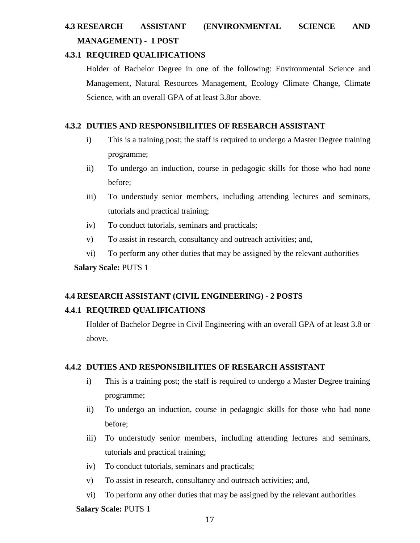# **4.3 RESEARCH ASSISTANT (ENVIRONMENTAL SCIENCE AND MANAGEMENT) - 1 POST**

# **4.3.1 REQUIRED QUALIFICATIONS**

Holder of Bachelor Degree in one of the following: Environmental Science and Management, Natural Resources Management, Ecology Climate Change, Climate Science, with an overall GPA of at least 3.8or above.

# **4.3.2 DUTIES AND RESPONSIBILITIES OF RESEARCH ASSISTANT**

- i) This is a training post; the staff is required to undergo a Master Degree training programme;
- ii) To undergo an induction, course in pedagogic skills for those who had none before;
- iii) To understudy senior members, including attending lectures and seminars, tutorials and practical training;
- iv) To conduct tutorials, seminars and practicals;
- v) To assist in research, consultancy and outreach activities; and,
- vi) To perform any other duties that may be assigned by the relevant authorities

**Salary Scale:** PUTS 1

# **4.4 RESEARCH ASSISTANT (CIVIL ENGINEERING) - 2 POSTS**

# **4.4.1 REQUIRED QUALIFICATIONS**

Holder of Bachelor Degree in Civil Engineering with an overall GPA of at least 3.8 or above.

#### **4.4.2 DUTIES AND RESPONSIBILITIES OF RESEARCH ASSISTANT**

- i) This is a training post; the staff is required to undergo a Master Degree training programme;
- ii) To undergo an induction, course in pedagogic skills for those who had none before;
- iii) To understudy senior members, including attending lectures and seminars, tutorials and practical training;
- iv) To conduct tutorials, seminars and practicals;
- v) To assist in research, consultancy and outreach activities; and,
- vi) To perform any other duties that may be assigned by the relevant authorities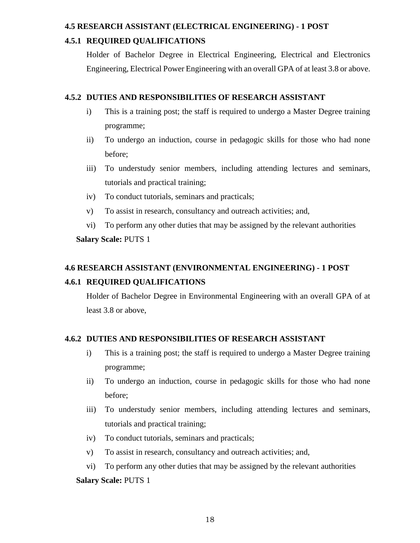#### **4.5 RESEARCH ASSISTANT (ELECTRICAL ENGINEERING) - 1 POST**

# **4.5.1 REQUIRED QUALIFICATIONS**

Holder of Bachelor Degree in Electrical Engineering, Electrical and Electronics Engineering, Electrical Power Engineering with an overall GPA of at least 3.8 or above.

# **4.5.2 DUTIES AND RESPONSIBILITIES OF RESEARCH ASSISTANT**

- i) This is a training post; the staff is required to undergo a Master Degree training programme;
- ii) To undergo an induction, course in pedagogic skills for those who had none before;
- iii) To understudy senior members, including attending lectures and seminars, tutorials and practical training;
- iv) To conduct tutorials, seminars and practicals;
- v) To assist in research, consultancy and outreach activities; and,
- vi) To perform any other duties that may be assigned by the relevant authorities

# **Salary Scale:** PUTS 1

# **4.6 RESEARCH ASSISTANT (ENVIRONMENTAL ENGINEERING) - 1 POST**

# **4.6.1 REQUIRED QUALIFICATIONS**

Holder of Bachelor Degree in Environmental Engineering with an overall GPA of at least 3.8 or above,

# **4.6.2 DUTIES AND RESPONSIBILITIES OF RESEARCH ASSISTANT**

- i) This is a training post; the staff is required to undergo a Master Degree training programme;
- ii) To undergo an induction, course in pedagogic skills for those who had none before;
- iii) To understudy senior members, including attending lectures and seminars, tutorials and practical training;
- iv) To conduct tutorials, seminars and practicals;
- v) To assist in research, consultancy and outreach activities; and,
- vi) To perform any other duties that may be assigned by the relevant authorities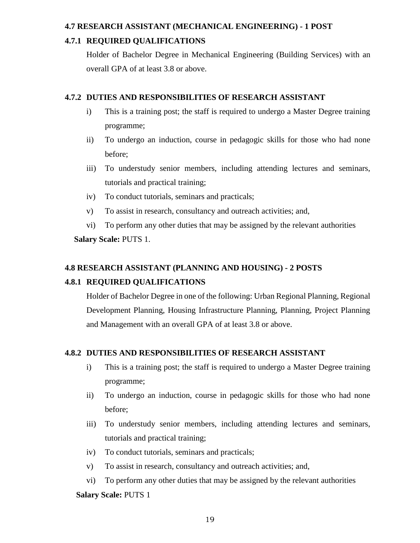#### **4.7 RESEARCH ASSISTANT (MECHANICAL ENGINEERING) - 1 POST**

# **4.7.1 REQUIRED QUALIFICATIONS**

Holder of Bachelor Degree in Mechanical Engineering (Building Services) with an overall GPA of at least 3.8 or above.

# **4.7.2 DUTIES AND RESPONSIBILITIES OF RESEARCH ASSISTANT**

- i) This is a training post; the staff is required to undergo a Master Degree training programme;
- ii) To undergo an induction, course in pedagogic skills for those who had none before;
- iii) To understudy senior members, including attending lectures and seminars, tutorials and practical training;
- iv) To conduct tutorials, seminars and practicals;
- v) To assist in research, consultancy and outreach activities; and,
- vi) To perform any other duties that may be assigned by the relevant authorities

# **Salary Scale:** PUTS 1.

# **4.8 RESEARCH ASSISTANT (PLANNING AND HOUSING) - 2 POSTS**

# **4.8.1 REQUIRED QUALIFICATIONS**

Holder of Bachelor Degree in one of the following: Urban Regional Planning, Regional Development Planning, Housing Infrastructure Planning, Planning, Project Planning and Management with an overall GPA of at least 3.8 or above.

# **4.8.2 DUTIES AND RESPONSIBILITIES OF RESEARCH ASSISTANT**

- i) This is a training post; the staff is required to undergo a Master Degree training programme;
- ii) To undergo an induction, course in pedagogic skills for those who had none before;
- iii) To understudy senior members, including attending lectures and seminars, tutorials and practical training;
- iv) To conduct tutorials, seminars and practicals;
- v) To assist in research, consultancy and outreach activities; and,

vi) To perform any other duties that may be assigned by the relevant authorities **Salary Scale:** PUTS 1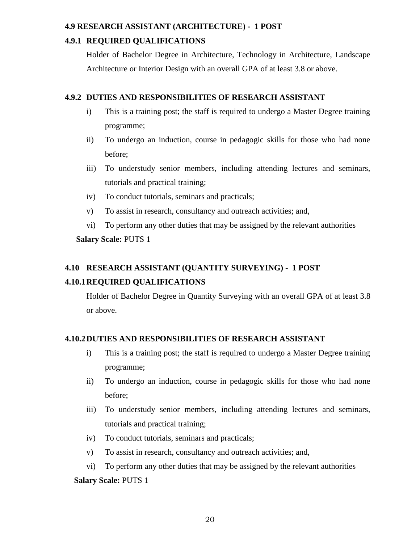### **4.9 RESEARCH ASSISTANT (ARCHITECTURE) - 1 POST**

# **4.9.1 REQUIRED QUALIFICATIONS**

Holder of Bachelor Degree in Architecture, Technology in Architecture, Landscape Architecture or Interior Design with an overall GPA of at least 3.8 or above.

# **4.9.2 DUTIES AND RESPONSIBILITIES OF RESEARCH ASSISTANT**

- i) This is a training post; the staff is required to undergo a Master Degree training programme;
- ii) To undergo an induction, course in pedagogic skills for those who had none before;
- iii) To understudy senior members, including attending lectures and seminars, tutorials and practical training;
- iv) To conduct tutorials, seminars and practicals;
- v) To assist in research, consultancy and outreach activities; and,
- vi) To perform any other duties that may be assigned by the relevant authorities

# **Salary Scale:** PUTS 1

# **4.10 RESEARCH ASSISTANT (QUANTITY SURVEYING) - 1 POST**

# **4.10.1REQUIRED QUALIFICATIONS**

Holder of Bachelor Degree in Quantity Surveying with an overall GPA of at least 3.8 or above.

# **4.10.2DUTIES AND RESPONSIBILITIES OF RESEARCH ASSISTANT**

- i) This is a training post; the staff is required to undergo a Master Degree training programme;
- ii) To undergo an induction, course in pedagogic skills for those who had none before;
- iii) To understudy senior members, including attending lectures and seminars, tutorials and practical training;
- iv) To conduct tutorials, seminars and practicals;
- v) To assist in research, consultancy and outreach activities; and,
- vi) To perform any other duties that may be assigned by the relevant authorities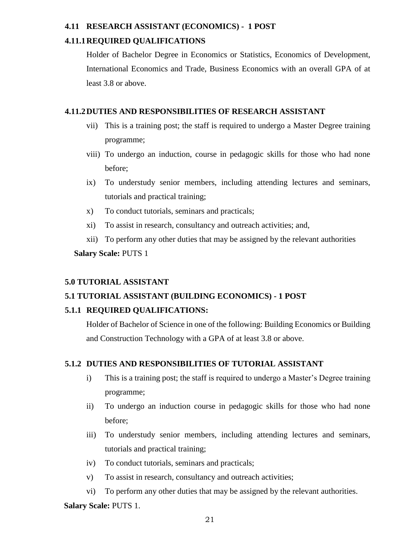### **4.11 RESEARCH ASSISTANT (ECONOMICS) - 1 POST**

# **4.11.1REQUIRED QUALIFICATIONS**

Holder of Bachelor Degree in Economics or Statistics, Economics of Development, International Economics and Trade, Business Economics with an overall GPA of at least 3.8 or above.

### **4.11.2DUTIES AND RESPONSIBILITIES OF RESEARCH ASSISTANT**

- vii) This is a training post; the staff is required to undergo a Master Degree training programme;
- viii) To undergo an induction, course in pedagogic skills for those who had none before;
- ix) To understudy senior members, including attending lectures and seminars, tutorials and practical training;
- x) To conduct tutorials, seminars and practicals;
- xi) To assist in research, consultancy and outreach activities; and,
- xii) To perform any other duties that may be assigned by the relevant authorities

**Salary Scale:** PUTS 1

# **5.0 TUTORIAL ASSISTANT**

# **5.1 TUTORIAL ASSISTANT (BUILDING ECONOMICS) - 1 POST**

# **5.1.1 REQUIRED QUALIFICATIONS:**

Holder of Bachelor of Science in one of the following: Building Economics or Building and Construction Technology with a GPA of at least 3.8 or above.

# **5.1.2 DUTIES AND RESPONSIBILITIES OF TUTORIAL ASSISTANT**

- i) This is a training post; the staff is required to undergo a Master's Degree training programme;
- ii) To undergo an induction course in pedagogic skills for those who had none before;
- iii) To understudy senior members, including attending lectures and seminars, tutorials and practical training;
- iv) To conduct tutorials, seminars and practicals;
- v) To assist in research, consultancy and outreach activities;
- vi) To perform any other duties that may be assigned by the relevant authorities.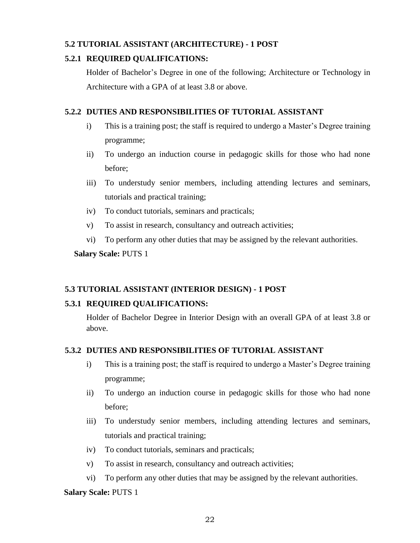# **5.2 TUTORIAL ASSISTANT (ARCHITECTURE) - 1 POST**

# **5.2.1 REQUIRED QUALIFICATIONS:**

Holder of Bachelor's Degree in one of the following; Architecture or Technology in Architecture with a GPA of at least 3.8 or above.

# **5.2.2 DUTIES AND RESPONSIBILITIES OF TUTORIAL ASSISTANT**

- i) This is a training post; the staff is required to undergo a Master's Degree training programme;
- ii) To undergo an induction course in pedagogic skills for those who had none before;
- iii) To understudy senior members, including attending lectures and seminars, tutorials and practical training;
- iv) To conduct tutorials, seminars and practicals;
- v) To assist in research, consultancy and outreach activities;
- vi) To perform any other duties that may be assigned by the relevant authorities.

# **Salary Scale:** PUTS 1

# **5.3 TUTORIAL ASSISTANT (INTERIOR DESIGN) - 1 POST**

# **5.3.1 REQUIRED QUALIFICATIONS:**

Holder of Bachelor Degree in Interior Design with an overall GPA of at least 3.8 or above.

#### **5.3.2 DUTIES AND RESPONSIBILITIES OF TUTORIAL ASSISTANT**

- i) This is a training post; the staff is required to undergo a Master's Degree training programme;
- ii) To undergo an induction course in pedagogic skills for those who had none before;
- iii) To understudy senior members, including attending lectures and seminars, tutorials and practical training;
- iv) To conduct tutorials, seminars and practicals;
- v) To assist in research, consultancy and outreach activities;
- vi) To perform any other duties that may be assigned by the relevant authorities.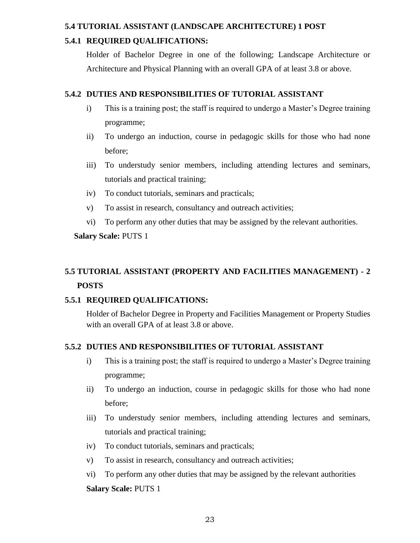#### **5.4 TUTORIAL ASSISTANT (LANDSCAPE ARCHITECTURE) 1 POST**

# **5.4.1 REQUIRED QUALIFICATIONS:**

Holder of Bachelor Degree in one of the following; Landscape Architecture or Architecture and Physical Planning with an overall GPA of at least 3.8 or above.

# **5.4.2 DUTIES AND RESPONSIBILITIES OF TUTORIAL ASSISTANT**

- i) This is a training post; the staff is required to undergo a Master's Degree training programme;
- ii) To undergo an induction, course in pedagogic skills for those who had none before;
- iii) To understudy senior members, including attending lectures and seminars, tutorials and practical training;
- iv) To conduct tutorials, seminars and practicals;
- v) To assist in research, consultancy and outreach activities;
- vi) To perform any other duties that may be assigned by the relevant authorities.

# **Salary Scale:** PUTS 1

# **5.5 TUTORIAL ASSISTANT (PROPERTY AND FACILITIES MANAGEMENT) - 2 POSTS**

# **5.5.1 REQUIRED QUALIFICATIONS:**

Holder of Bachelor Degree in Property and Facilities Management or Property Studies with an overall GPA of at least 3.8 or above.

# **5.5.2 DUTIES AND RESPONSIBILITIES OF TUTORIAL ASSISTANT**

- i) This is a training post; the staff is required to undergo a Master's Degree training programme;
- ii) To undergo an induction, course in pedagogic skills for those who had none before;
- iii) To understudy senior members, including attending lectures and seminars, tutorials and practical training;
- iv) To conduct tutorials, seminars and practicals;
- v) To assist in research, consultancy and outreach activities;
- vi) To perform any other duties that may be assigned by the relevant authorities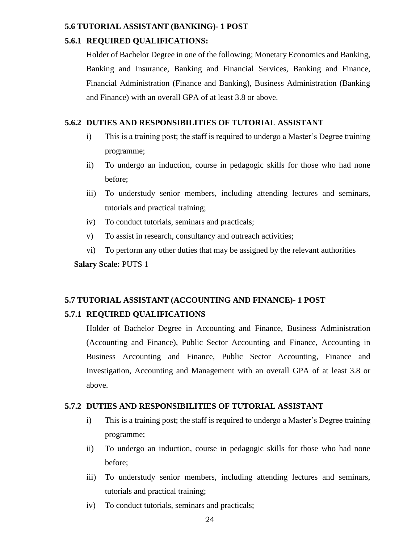#### **5.6 TUTORIAL ASSISTANT (BANKING)- 1 POST**

#### **5.6.1 REQUIRED QUALIFICATIONS:**

Holder of Bachelor Degree in one of the following; Monetary Economics and Banking, Banking and Insurance, Banking and Financial Services, Banking and Finance, Financial Administration (Finance and Banking), Business Administration (Banking and Finance) with an overall GPA of at least 3.8 or above.

# **5.6.2 DUTIES AND RESPONSIBILITIES OF TUTORIAL ASSISTANT**

- i) This is a training post; the staff is required to undergo a Master's Degree training programme;
- ii) To undergo an induction, course in pedagogic skills for those who had none before;
- iii) To understudy senior members, including attending lectures and seminars, tutorials and practical training;
- iv) To conduct tutorials, seminars and practicals;
- v) To assist in research, consultancy and outreach activities;
- vi) To perform any other duties that may be assigned by the relevant authorities

**Salary Scale:** PUTS 1

# **5.7 TUTORIAL ASSISTANT (ACCOUNTING AND FINANCE)- 1 POST**

# **5.7.1 REQUIRED QUALIFICATIONS**

Holder of Bachelor Degree in Accounting and Finance, Business Administration (Accounting and Finance), Public Sector Accounting and Finance, Accounting in Business Accounting and Finance, Public Sector Accounting, Finance and Investigation, Accounting and Management with an overall GPA of at least 3.8 or above.

#### **5.7.2 DUTIES AND RESPONSIBILITIES OF TUTORIAL ASSISTANT**

- i) This is a training post; the staff is required to undergo a Master's Degree training programme;
- ii) To undergo an induction, course in pedagogic skills for those who had none before;
- iii) To understudy senior members, including attending lectures and seminars, tutorials and practical training;
- iv) To conduct tutorials, seminars and practicals;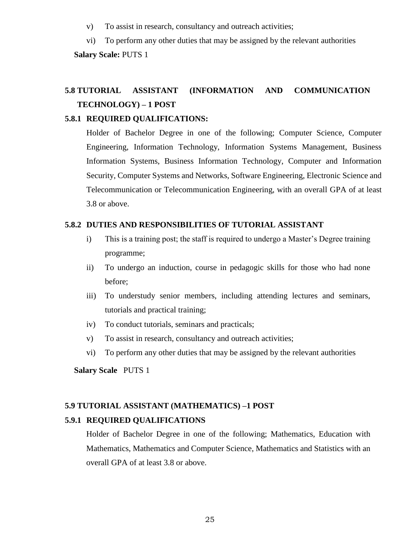- v) To assist in research, consultancy and outreach activities;
- vi) To perform any other duties that may be assigned by the relevant authorities

**Salary Scale:** PUTS 1

# **5.8 TUTORIAL ASSISTANT (INFORMATION AND COMMUNICATION TECHNOLOGY) – 1 POST**

#### **5.8.1 REQUIRED QUALIFICATIONS:**

Holder of Bachelor Degree in one of the following; Computer Science, Computer Engineering, Information Technology, Information Systems Management, Business Information Systems, Business Information Technology, Computer and Information Security, Computer Systems and Networks, Software Engineering, Electronic Science and Telecommunication or Telecommunication Engineering, with an overall GPA of at least 3.8 or above.

#### **5.8.2 DUTIES AND RESPONSIBILITIES OF TUTORIAL ASSISTANT**

- i) This is a training post; the staff is required to undergo a Master's Degree training programme;
- ii) To undergo an induction, course in pedagogic skills for those who had none before;
- iii) To understudy senior members, including attending lectures and seminars, tutorials and practical training;
- iv) To conduct tutorials, seminars and practicals;
- v) To assist in research, consultancy and outreach activities;
- vi) To perform any other duties that may be assigned by the relevant authorities

**Salary Scale** PUTS 1

#### **5.9 TUTORIAL ASSISTANT (MATHEMATICS) –1 POST**

#### **5.9.1 REQUIRED QUALIFICATIONS**

Holder of Bachelor Degree in one of the following; Mathematics, Education with Mathematics, Mathematics and Computer Science, Mathematics and Statistics with an overall GPA of at least 3.8 or above.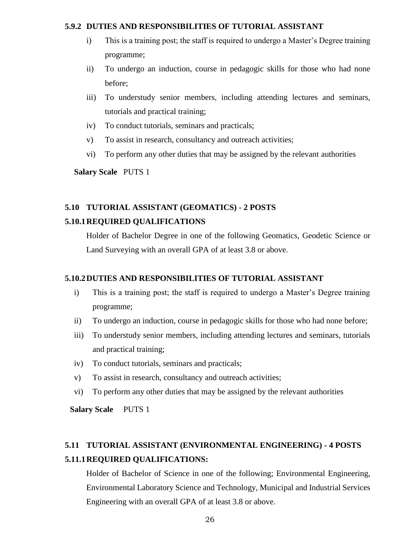#### **5.9.2 DUTIES AND RESPONSIBILITIES OF TUTORIAL ASSISTANT**

- i) This is a training post; the staff is required to undergo a Master's Degree training programme;
- ii) To undergo an induction, course in pedagogic skills for those who had none before;
- iii) To understudy senior members, including attending lectures and seminars, tutorials and practical training;
- iv) To conduct tutorials, seminars and practicals;
- v) To assist in research, consultancy and outreach activities;
- vi) To perform any other duties that may be assigned by the relevant authorities

**Salary Scale** PUTS 1

# **5.10 TUTORIAL ASSISTANT (GEOMATICS) - 2 POSTS**

#### **5.10.1REQUIRED QUALIFICATIONS**

Holder of Bachelor Degree in one of the following Geomatics, Geodetic Science or Land Surveying with an overall GPA of at least 3.8 or above.

#### **5.10.2DUTIES AND RESPONSIBILITIES OF TUTORIAL ASSISTANT**

- i) This is a training post; the staff is required to undergo a Master's Degree training programme;
- ii) To undergo an induction, course in pedagogic skills for those who had none before;
- iii) To understudy senior members, including attending lectures and seminars, tutorials and practical training;
- iv) To conduct tutorials, seminars and practicals;
- v) To assist in research, consultancy and outreach activities;
- vi) To perform any other duties that may be assigned by the relevant authorities

 **Salary Scale** PUTS 1

# **5.11 TUTORIAL ASSISTANT (ENVIRONMENTAL ENGINEERING) - 4 POSTS 5.11.1REQUIRED QUALIFICATIONS:**

Holder of Bachelor of Science in one of the following; Environmental Engineering, Environmental Laboratory Science and Technology, Municipal and Industrial Services Engineering with an overall GPA of at least 3.8 or above.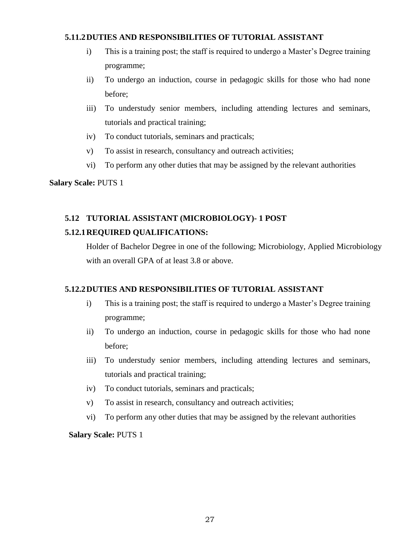# **5.11.2DUTIES AND RESPONSIBILITIES OF TUTORIAL ASSISTANT**

- i) This is a training post; the staff is required to undergo a Master's Degree training programme;
- ii) To undergo an induction, course in pedagogic skills for those who had none before;
- iii) To understudy senior members, including attending lectures and seminars, tutorials and practical training;
- iv) To conduct tutorials, seminars and practicals;
- v) To assist in research, consultancy and outreach activities;
- vi) To perform any other duties that may be assigned by the relevant authorities

#### **Salary Scale:** PUTS 1

# **5.12 TUTORIAL ASSISTANT (MICROBIOLOGY)- 1 POST**

# **5.12.1REQUIRED QUALIFICATIONS:**

Holder of Bachelor Degree in one of the following; Microbiology, Applied Microbiology with an overall GPA of at least 3.8 or above.

# **5.12.2DUTIES AND RESPONSIBILITIES OF TUTORIAL ASSISTANT**

- i) This is a training post; the staff is required to undergo a Master's Degree training programme;
- ii) To undergo an induction, course in pedagogic skills for those who had none before;
- iii) To understudy senior members, including attending lectures and seminars, tutorials and practical training;
- iv) To conduct tutorials, seminars and practicals;
- v) To assist in research, consultancy and outreach activities;
- vi) To perform any other duties that may be assigned by the relevant authorities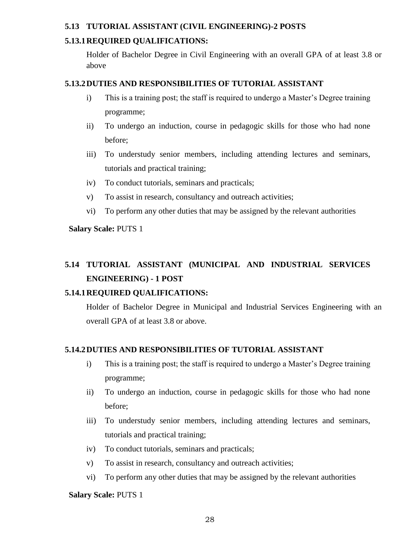# **5.13 TUTORIAL ASSISTANT (CIVIL ENGINEERING)-2 POSTS**

# **5.13.1REQUIRED QUALIFICATIONS:**

Holder of Bachelor Degree in Civil Engineering with an overall GPA of at least 3.8 or above

# **5.13.2DUTIES AND RESPONSIBILITIES OF TUTORIAL ASSISTANT**

- i) This is a training post; the staff is required to undergo a Master's Degree training programme;
- ii) To undergo an induction, course in pedagogic skills for those who had none before;
- iii) To understudy senior members, including attending lectures and seminars, tutorials and practical training;
- iv) To conduct tutorials, seminars and practicals;
- v) To assist in research, consultancy and outreach activities;
- vi) To perform any other duties that may be assigned by the relevant authorities

**Salary Scale:** PUTS 1

# **5.14 TUTORIAL ASSISTANT (MUNICIPAL AND INDUSTRIAL SERVICES ENGINEERING) - 1 POST**

# **5.14.1REQUIRED QUALIFICATIONS:**

Holder of Bachelor Degree in Municipal and Industrial Services Engineering with an overall GPA of at least 3.8 or above.

# **5.14.2DUTIES AND RESPONSIBILITIES OF TUTORIAL ASSISTANT**

- i) This is a training post; the staff is required to undergo a Master's Degree training programme;
- ii) To undergo an induction, course in pedagogic skills for those who had none before;
- iii) To understudy senior members, including attending lectures and seminars, tutorials and practical training;
- iv) To conduct tutorials, seminars and practicals;
- v) To assist in research, consultancy and outreach activities;
- vi) To perform any other duties that may be assigned by the relevant authorities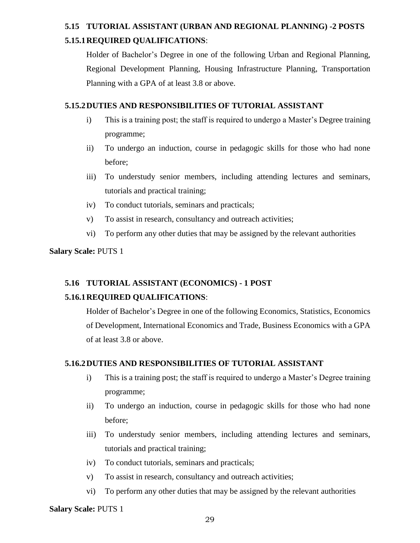# **5.15 TUTORIAL ASSISTANT (URBAN AND REGIONAL PLANNING) -2 POSTS 5.15.1REQUIRED QUALIFICATIONS**:

Holder of Bachelor's Degree in one of the following Urban and Regional Planning, Regional Development Planning, Housing Infrastructure Planning, Transportation Planning with a GPA of at least 3.8 or above.

#### **5.15.2DUTIES AND RESPONSIBILITIES OF TUTORIAL ASSISTANT**

- i) This is a training post; the staff is required to undergo a Master's Degree training programme;
- ii) To undergo an induction, course in pedagogic skills for those who had none before;
- iii) To understudy senior members, including attending lectures and seminars, tutorials and practical training;
- iv) To conduct tutorials, seminars and practicals;
- v) To assist in research, consultancy and outreach activities;
- vi) To perform any other duties that may be assigned by the relevant authorities

# **Salary Scale:** PUTS 1

# **5.16 TUTORIAL ASSISTANT (ECONOMICS) - 1 POST 5.16.1REQUIRED QUALIFICATIONS**:

Holder of Bachelor's Degree in one of the following Economics, Statistics, Economics of Development, International Economics and Trade, Business Economics with a GPA of at least 3.8 or above.

# **5.16.2DUTIES AND RESPONSIBILITIES OF TUTORIAL ASSISTANT**

- i) This is a training post; the staff is required to undergo a Master's Degree training programme;
- ii) To undergo an induction, course in pedagogic skills for those who had none before;
- iii) To understudy senior members, including attending lectures and seminars, tutorials and practical training;
- iv) To conduct tutorials, seminars and practicals;
- v) To assist in research, consultancy and outreach activities;
- vi) To perform any other duties that may be assigned by the relevant authorities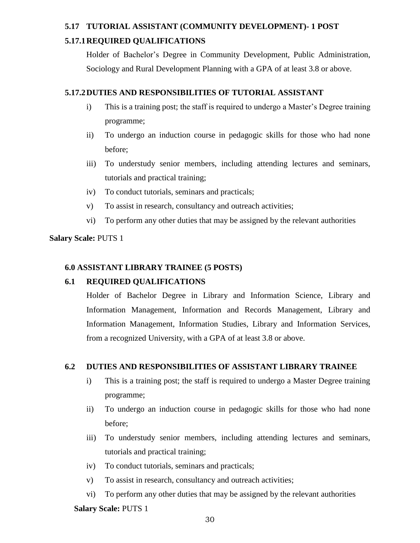# **5.17 TUTORIAL ASSISTANT (COMMUNITY DEVELOPMENT)- 1 POST 5.17.1REQUIRED QUALIFICATIONS**

Holder of Bachelor's Degree in Community Development, Public Administration, Sociology and Rural Development Planning with a GPA of at least 3.8 or above.

# **5.17.2DUTIES AND RESPONSIBILITIES OF TUTORIAL ASSISTANT**

- i) This is a training post; the staff is required to undergo a Master's Degree training programme;
- ii) To undergo an induction course in pedagogic skills for those who had none before;
- iii) To understudy senior members, including attending lectures and seminars, tutorials and practical training;
- iv) To conduct tutorials, seminars and practicals;
- v) To assist in research, consultancy and outreach activities;
- vi) To perform any other duties that may be assigned by the relevant authorities

#### **Salary Scale:** PUTS 1

#### **6.0 ASSISTANT LIBRARY TRAINEE (5 POSTS)**

# **6.1 REQUIRED QUALIFICATIONS**

Holder of Bachelor Degree in Library and Information Science, Library and Information Management, Information and Records Management, Library and Information Management, Information Studies, Library and Information Services, from a recognized University, with a GPA of at least 3.8 or above.

#### **6.2 DUTIES AND RESPONSIBILITIES OF ASSISTANT LIBRARY TRAINEE**

- i) This is a training post; the staff is required to undergo a Master Degree training programme;
- ii) To undergo an induction course in pedagogic skills for those who had none before;
- iii) To understudy senior members, including attending lectures and seminars, tutorials and practical training;
- iv) To conduct tutorials, seminars and practicals;
- v) To assist in research, consultancy and outreach activities;
- vi) To perform any other duties that may be assigned by the relevant authorities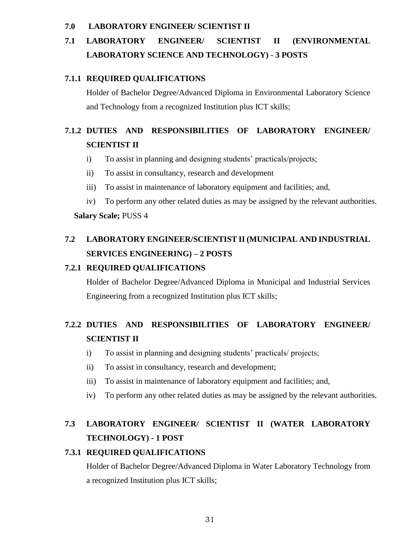#### **7.0 LABORATORY ENGINEER/ SCIENTIST II**

# **7.1 LABORATORY ENGINEER/ SCIENTIST II (ENVIRONMENTAL LABORATORY SCIENCE AND TECHNOLOGY) - 3 POSTS**

#### **7.1.1 REQUIRED QUALIFICATIONS**

Holder of Bachelor Degree/Advanced Diploma in Environmental Laboratory Science and Technology from a recognized Institution plus ICT skills;

# **7.1.2 DUTIES AND RESPONSIBILITIES OF LABORATORY ENGINEER/ SCIENTIST II**

- i) To assist in planning and designing students' practicals/projects;
- ii) To assist in consultancy, research and development
- iii) To assist in maintenance of laboratory equipment and facilities; and,
- iv) To perform any other related duties as may be assigned by the relevant authorities.

#### **Salary Scale;** PUSS 4

# **7.2 LABORATORY ENGINEER/SCIENTIST II (MUNICIPAL AND INDUSTRIAL SERVICES ENGINEERING) – 2 POSTS**

# **7.2.1 REQUIRED QUALIFICATIONS**

Holder of Bachelor Degree/Advanced Diploma in Municipal and Industrial Services Engineering from a recognized Institution plus ICT skills;

# **7.2.2 DUTIES AND RESPONSIBILITIES OF LABORATORY ENGINEER/ SCIENTIST II**

- i) To assist in planning and designing students' practicals/ projects;
- ii) To assist in consultancy, research and development;
- iii) To assist in maintenance of laboratory equipment and facilities; and,
- iv) To perform any other related duties as may be assigned by the relevant authorities.

# **7.3 LABORATORY ENGINEER/ SCIENTIST II (WATER LABORATORY TECHNOLOGY) - 1 POST**

# **7.3.1 REQUIRED QUALIFICATIONS**

Holder of Bachelor Degree/Advanced Diploma in Water Laboratory Technology from a recognized Institution plus ICT skills;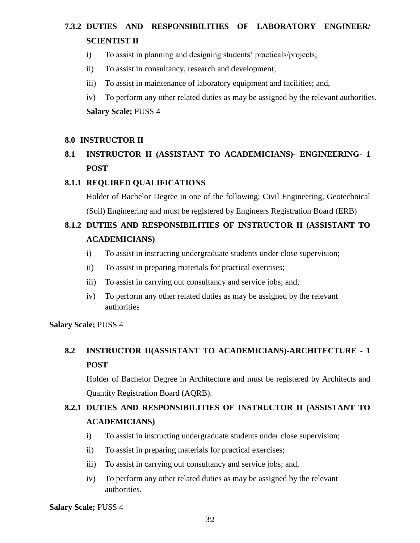# **7.3.2 DUTIES AND RESPONSIBILITIES OF LABORATORY ENGINEER/ SCIENTIST II**

- i) To assist in planning and designing students' practicals/projects;
- ii) To assist in consultancy, research and development;
- iii) To assist in maintenance of laboratory equipment and facilities; and,
- iv) To perform any other related duties as may be assigned by the relevant authorities. **Salary Scale;** PUSS 4

#### **8.0 INSTRUCTOR II**

# **8.1 INSTRUCTOR II (ASSISTANT TO ACADEMICIANS)- ENGINEERING- 1 POST**

#### **8.1.1 REQUIRED QUALIFICATIONS**

Holder of Bachelor Degree in one of the following; Civil Engineering, Geotechnical (Soil) Engineering and must be registered by Engineers Registration Board (ERB)

# **8.1.2 DUTIES AND RESPONSIBILITIES OF INSTRUCTOR II (ASSISTANT TO ACADEMICIANS)**

- i) To assist in instructing undergraduate students under close supervision;
- ii) To assist in preparing materials for practical exercises;
- iii) To assist in carrying out consultancy and service jobs; and,
- iv) To perform any other related duties as may be assigned by the relevant authorities

#### **Salary Scale;** PUSS 4

# **8.2 INSTRUCTOR II(ASSISTANT TO ACADEMICIANS)-ARCHITECTURE - 1 POST**

Holder of Bachelor Degree in Architecture and must be registered by Architects and Quantity Registration Board (AQRB).

# **8.2.1 DUTIES AND RESPONSIBILITIES OF INSTRUCTOR II (ASSISTANT TO ACADEMICIANS)**

- i) To assist in instructing undergraduate students under close supervision;
- ii) To assist in preparing materials for practical exercises;
- iii) To assist in carrying out consultancy and service jobs; and,
- iv) To perform any other related duties as may be assigned by the relevant authorities.

#### **Salary Scale;** PUSS 4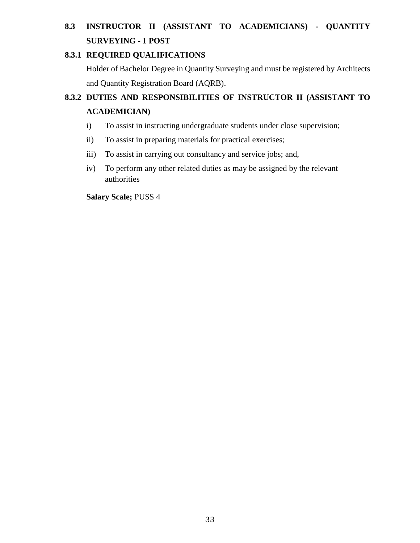# **8.3 INSTRUCTOR II (ASSISTANT TO ACADEMICIANS) - QUANTITY SURVEYING - 1 POST**

# **8.3.1 REQUIRED QUALIFICATIONS**

Holder of Bachelor Degree in Quantity Surveying and must be registered by Architects and Quantity Registration Board (AQRB).

# **8.3.2 DUTIES AND RESPONSIBILITIES OF INSTRUCTOR II (ASSISTANT TO ACADEMICIAN)**

- i) To assist in instructing undergraduate students under close supervision;
- ii) To assist in preparing materials for practical exercises;
- iii) To assist in carrying out consultancy and service jobs; and,
- iv) To perform any other related duties as may be assigned by the relevant authorities

**Salary Scale;** PUSS 4